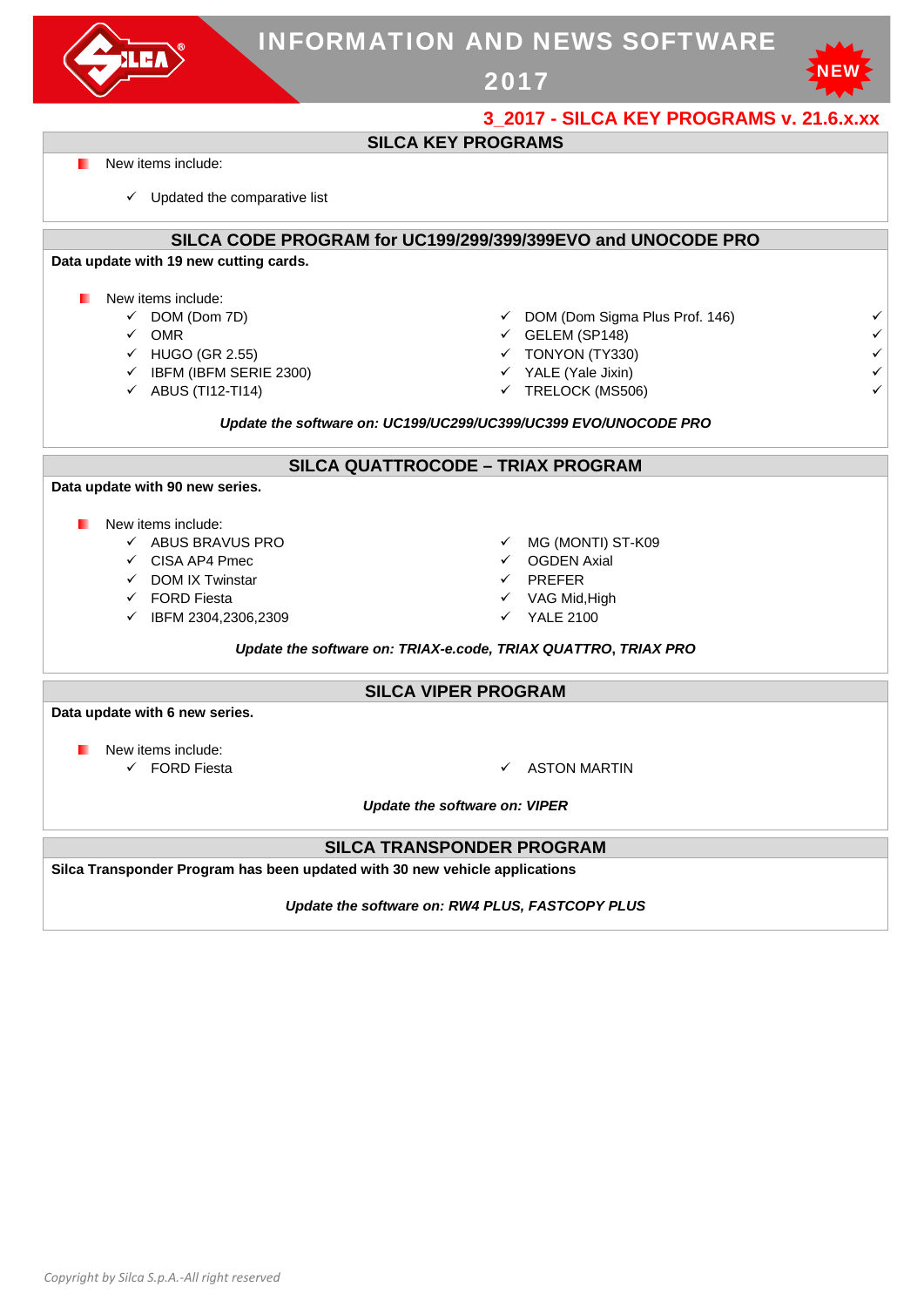|                                                                             | <b>INFORMATION AND NEWS SOFTWARE</b>                            |                                                 |                                             |   |
|-----------------------------------------------------------------------------|-----------------------------------------------------------------|-------------------------------------------------|---------------------------------------------|---|
|                                                                             |                                                                 | 2017                                            |                                             |   |
|                                                                             |                                                                 |                                                 | 3 2017 - SILCA KEY PROGRAMS v. 21.6.x.xx    |   |
|                                                                             |                                                                 | <b>SILCA KEY PROGRAMS</b>                       |                                             |   |
| New items include:                                                          |                                                                 |                                                 |                                             |   |
| $\checkmark$ Updated the comparative list                                   |                                                                 |                                                 |                                             |   |
|                                                                             | SILCA CODE PROGRAM for UC199/299/399/399EVO and UNOCODE PRO     |                                                 |                                             |   |
| Data update with 19 new cutting cards.                                      |                                                                 |                                                 |                                             |   |
| New items include:                                                          |                                                                 |                                                 |                                             |   |
| $\checkmark$ DOM (Dom 7D)                                                   |                                                                 |                                                 | $\checkmark$ DOM (Dom Sigma Plus Prof. 146) | ✓ |
| $\checkmark$ OMR                                                            |                                                                 | $\checkmark$ GELEM (SP148)                      |                                             |   |
| $\checkmark$ HUGO (GR 2.55)                                                 |                                                                 | $\checkmark$ TONYON (TY330)                     |                                             |   |
| $\checkmark$ IBFM (IBFM SERIE 2300)                                         |                                                                 | $\checkmark$ YALE (Yale Jixin)                  |                                             |   |
| $\checkmark$ ABUS (TI12-TI14)                                               |                                                                 | ← TRELOCK (MS506)                               |                                             |   |
|                                                                             | Update the software on: UC199/UC299/UC399/UC399 EVO/UNOCODE PRO |                                                 |                                             |   |
|                                                                             |                                                                 | SILCA QUATTROCODE - TRIAX PROGRAM               |                                             |   |
| Data update with 90 new series.                                             |                                                                 |                                                 |                                             |   |
| New items include:                                                          |                                                                 |                                                 |                                             |   |
| $\checkmark$ ABUS BRAVUS PRO                                                |                                                                 | ← MG (MONTI) ST-K09                             |                                             |   |
| $\checkmark$ CISA AP4 Pmec                                                  |                                                                 | $\checkmark$ OGDEN Axial                        |                                             |   |
| $\checkmark$ DOM IX Twinstar                                                |                                                                 | $\checkmark$ PREFER                             |                                             |   |
| $\checkmark$ FORD Fiesta                                                    |                                                                 | √ VAG Mid, High                                 |                                             |   |
| ← IBFM 2304,2306,2309                                                       |                                                                 | <b>YALE 2100</b>                                |                                             |   |
|                                                                             | Update the software on: TRIAX-e.code, TRIAX QUATTRO, TRIAX PRO  |                                                 |                                             |   |
|                                                                             |                                                                 |                                                 |                                             |   |
|                                                                             |                                                                 | <b>SILCA VIPER PROGRAM</b>                      |                                             |   |
| Data update with 6 new series.                                              |                                                                 |                                                 |                                             |   |
| New items include:                                                          |                                                                 |                                                 |                                             |   |
| $\checkmark$ FORD Fiesta                                                    |                                                                 | <b>ASTON MARTIN</b><br>✓                        |                                             |   |
|                                                                             |                                                                 |                                                 |                                             |   |
|                                                                             |                                                                 | <b>Update the software on: VIPER</b>            |                                             |   |
|                                                                             |                                                                 | <b>SILCA TRANSPONDER PROGRAM</b>                |                                             |   |
| Silca Transponder Program has been updated with 30 new vehicle applications |                                                                 |                                                 |                                             |   |
|                                                                             |                                                                 | Update the software on: RW4 PLUS, FASTCOPY PLUS |                                             |   |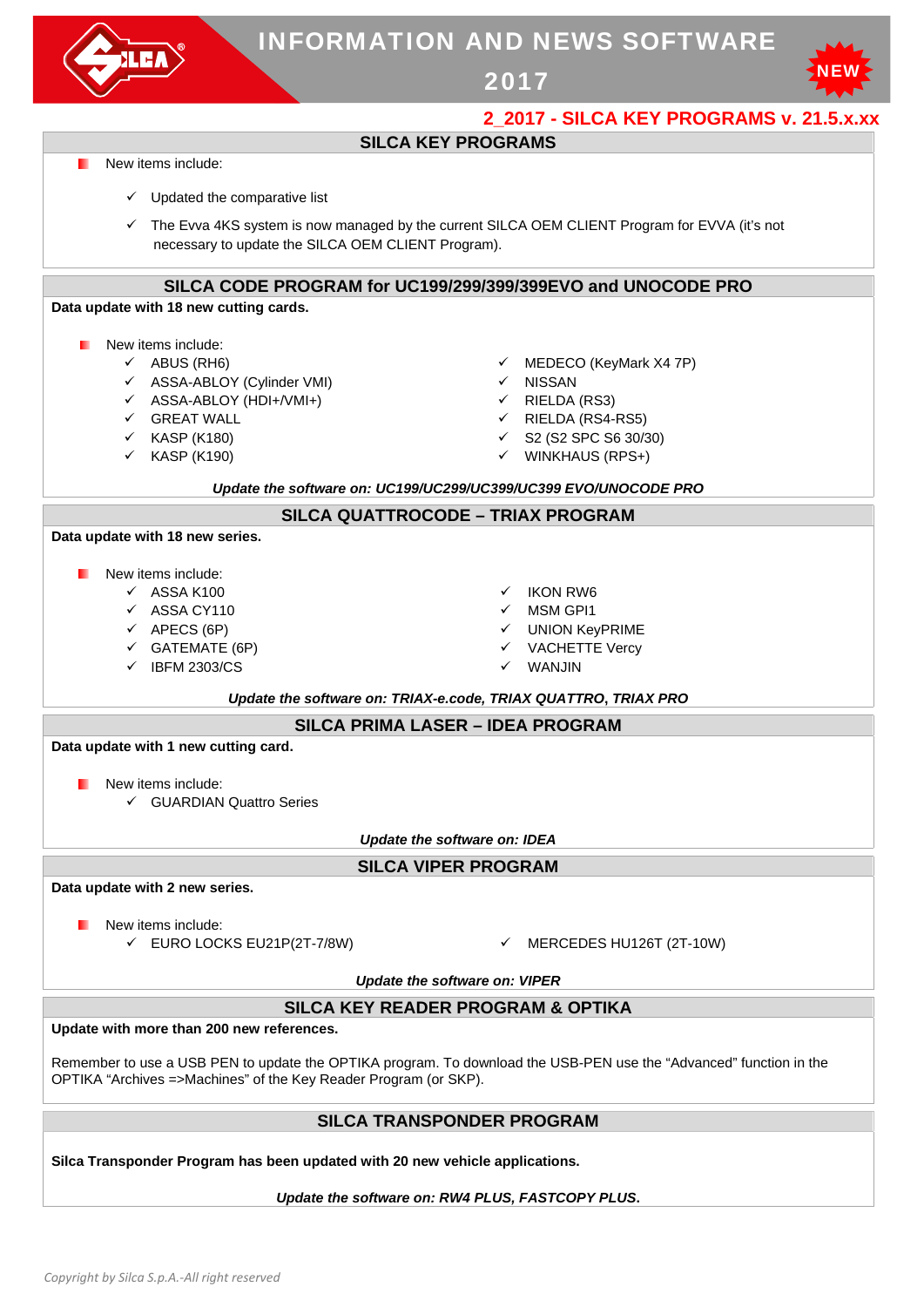

# INFORMATION AND NEWS SOFTWARE

2017



## **2\_2017 - SILCA KEY PROGRAMS v. 21.5.x.xx**